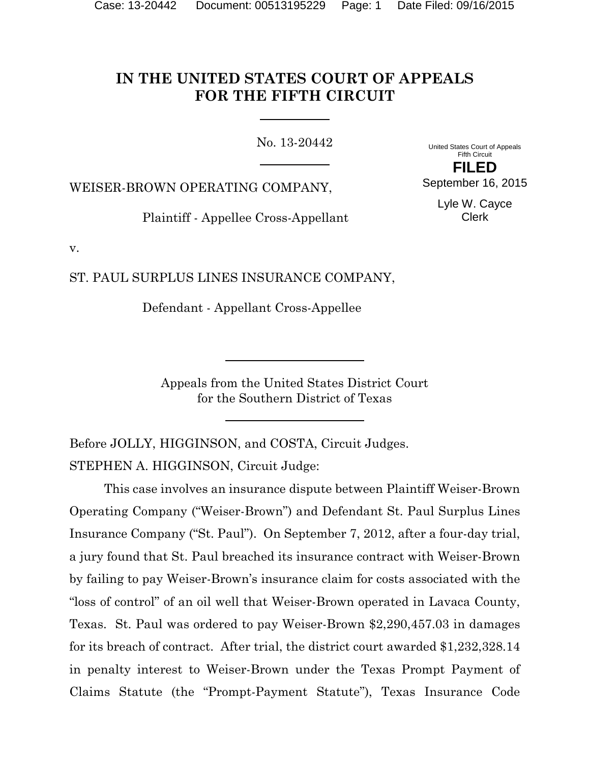# **IN THE UNITED STATES COURT OF APPEALS FOR THE FIFTH CIRCUIT**

No. 13-20442

United States Court of Appeals Fifth Circuit **FILED**

September 16, 2015

WEISER-BROWN OPERATING COMPANY,

Plaintiff - Appellee Cross-Appellant

Lyle W. Cayce Clerk

v.

ST. PAUL SURPLUS LINES INSURANCE COMPANY,

Defendant - Appellant Cross-Appellee

Appeals from the United States District Court for the Southern District of Texas

Before JOLLY, HIGGINSON, and COSTA, Circuit Judges. STEPHEN A. HIGGINSON, Circuit Judge:

This case involves an insurance dispute between Plaintiff Weiser-Brown Operating Company ("Weiser-Brown") and Defendant St. Paul Surplus Lines Insurance Company ("St. Paul"). On September 7, 2012, after a four-day trial, a jury found that St. Paul breached its insurance contract with Weiser-Brown by failing to pay Weiser-Brown's insurance claim for costs associated with the "loss of control" of an oil well that Weiser-Brown operated in Lavaca County, Texas. St. Paul was ordered to pay Weiser-Brown \$2,290,457.03 in damages for its breach of contract. After trial, the district court awarded \$1,232,328.14 in penalty interest to Weiser-Brown under the Texas Prompt Payment of Claims Statute (the "Prompt-Payment Statute"), Texas Insurance Code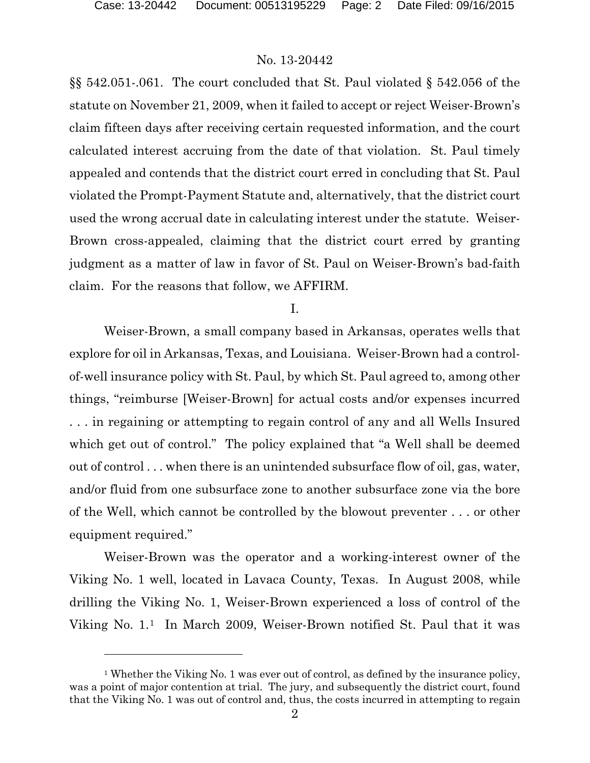### No. 13-20442

§§ 542.051-.061. The court concluded that St. Paul violated § 542.056 of the statute on November 21, 2009, when it failed to accept or reject Weiser-Brown's claim fifteen days after receiving certain requested information, and the court calculated interest accruing from the date of that violation. St. Paul timely appealed and contends that the district court erred in concluding that St. Paul violated the Prompt-Payment Statute and, alternatively, that the district court used the wrong accrual date in calculating interest under the statute. Weiser-Brown cross-appealed, claiming that the district court erred by granting judgment as a matter of law in favor of St. Paul on Weiser-Brown's bad-faith claim. For the reasons that follow, we AFFIRM.

I.

Weiser-Brown, a small company based in Arkansas, operates wells that explore for oil in Arkansas, Texas, and Louisiana. Weiser-Brown had a controlof-well insurance policy with St. Paul, by which St. Paul agreed to, among other things, "reimburse [Weiser-Brown] for actual costs and/or expenses incurred . . . in regaining or attempting to regain control of any and all Wells Insured which get out of control." The policy explained that "a Well shall be deemed out of control . . . when there is an unintended subsurface flow of oil, gas, water, and/or fluid from one subsurface zone to another subsurface zone via the bore of the Well, which cannot be controlled by the blowout preventer . . . or other equipment required."

Weiser-Brown was the operator and a working-interest owner of the Viking No. 1 well, located in Lavaca County, Texas. In August 2008, while drilling the Viking No. 1, Weiser-Brown experienced a loss of control of the Viking No. 1.[1](#page-1-0) In March 2009, Weiser-Brown notified St. Paul that it was

<span id="page-1-0"></span><sup>&</sup>lt;sup>1</sup> Whether the Viking No. 1 was ever out of control, as defined by the insurance policy, was a point of major contention at trial. The jury, and subsequently the district court, found that the Viking No. 1 was out of control and, thus, the costs incurred in attempting to regain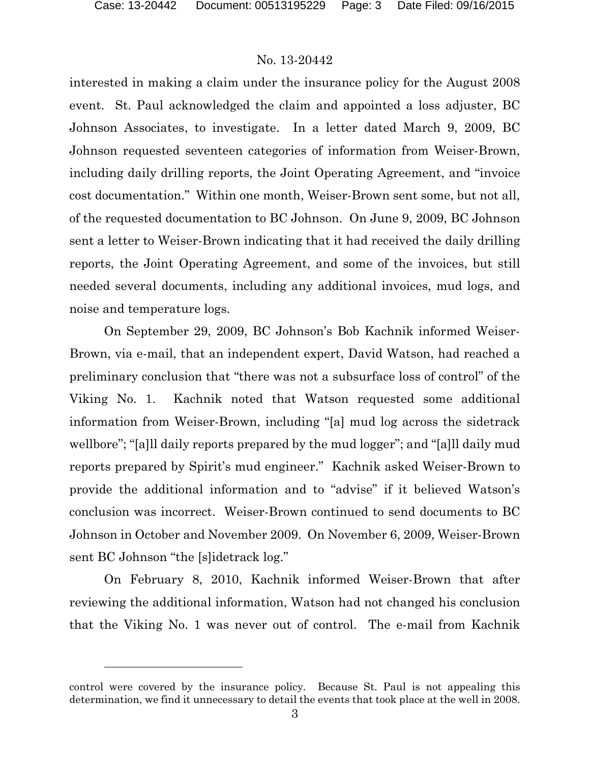### No. 13-20442

interested in making a claim under the insurance policy for the August 2008 event. St. Paul acknowledged the claim and appointed a loss adjuster, BC Johnson Associates, to investigate. In a letter dated March 9, 2009, BC Johnson requested seventeen categories of information from Weiser-Brown, including daily drilling reports, the Joint Operating Agreement, and "invoice cost documentation." Within one month, Weiser-Brown sent some, but not all, of the requested documentation to BC Johnson. On June 9, 2009, BC Johnson sent a letter to Weiser-Brown indicating that it had received the daily drilling reports, the Joint Operating Agreement, and some of the invoices, but still needed several documents, including any additional invoices, mud logs, and noise and temperature logs.

On September 29, 2009, BC Johnson's Bob Kachnik informed Weiser-Brown, via e-mail, that an independent expert, David Watson, had reached a preliminary conclusion that "there was not a subsurface loss of control" of the Viking No. 1. Kachnik noted that Watson requested some additional information from Weiser-Brown, including "[a] mud log across the sidetrack wellbore"; "[a]ll daily reports prepared by the mud logger"; and "[a]ll daily mud reports prepared by Spirit's mud engineer." Kachnik asked Weiser-Brown to provide the additional information and to "advise" if it believed Watson's conclusion was incorrect. Weiser-Brown continued to send documents to BC Johnson in October and November 2009. On November 6, 2009, Weiser-Brown sent BC Johnson "the [s]idetrack log."

On February 8, 2010, Kachnik informed Weiser-Brown that after reviewing the additional information, Watson had not changed his conclusion that the Viking No. 1 was never out of control. The e-mail from Kachnik

control were covered by the insurance policy. Because St. Paul is not appealing this determination, we find it unnecessary to detail the events that took place at the well in 2008.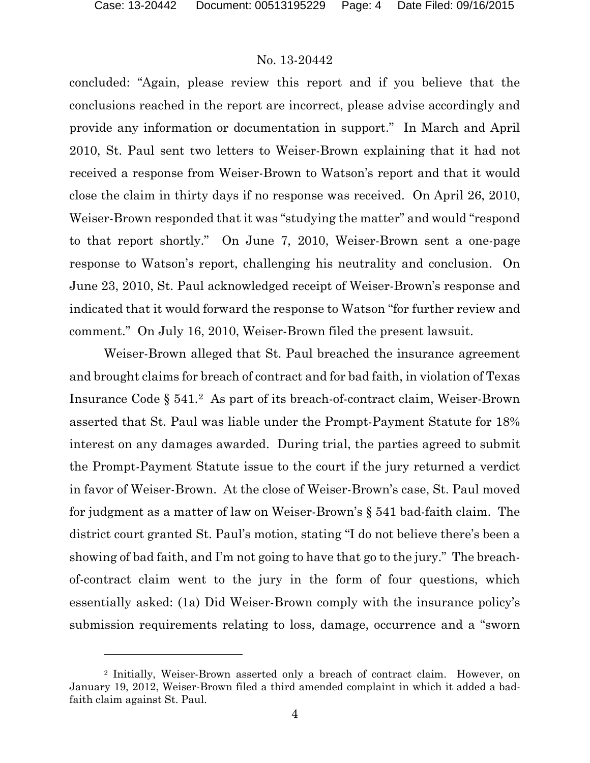### No. 13-20442

concluded: "Again, please review this report and if you believe that the conclusions reached in the report are incorrect, please advise accordingly and provide any information or documentation in support." In March and April 2010, St. Paul sent two letters to Weiser-Brown explaining that it had not received a response from Weiser-Brown to Watson's report and that it would close the claim in thirty days if no response was received. On April 26, 2010, Weiser-Brown responded that it was "studying the matter" and would "respond to that report shortly." On June 7, 2010, Weiser-Brown sent a one-page response to Watson's report, challenging his neutrality and conclusion. On June 23, 2010, St. Paul acknowledged receipt of Weiser-Brown's response and indicated that it would forward the response to Watson "for further review and comment." On July 16, 2010, Weiser-Brown filed the present lawsuit.

Weiser-Brown alleged that St. Paul breached the insurance agreement and brought claims for breach of contract and for bad faith, in violation of Texas Insurance Code § 541.[2](#page-3-0) As part of its breach-of-contract claim, Weiser-Brown asserted that St. Paul was liable under the Prompt-Payment Statute for 18% interest on any damages awarded. During trial, the parties agreed to submit the Prompt-Payment Statute issue to the court if the jury returned a verdict in favor of Weiser-Brown. At the close of Weiser-Brown's case, St. Paul moved for judgment as a matter of law on Weiser-Brown's § 541 bad-faith claim. The district court granted St. Paul's motion, stating "I do not believe there's been a showing of bad faith, and I'm not going to have that go to the jury." The breachof-contract claim went to the jury in the form of four questions, which essentially asked: (1a) Did Weiser-Brown comply with the insurance policy's submission requirements relating to loss, damage, occurrence and a "sworn

<span id="page-3-0"></span><sup>2</sup> Initially, Weiser-Brown asserted only a breach of contract claim. However, on January 19, 2012, Weiser-Brown filed a third amended complaint in which it added a badfaith claim against St. Paul.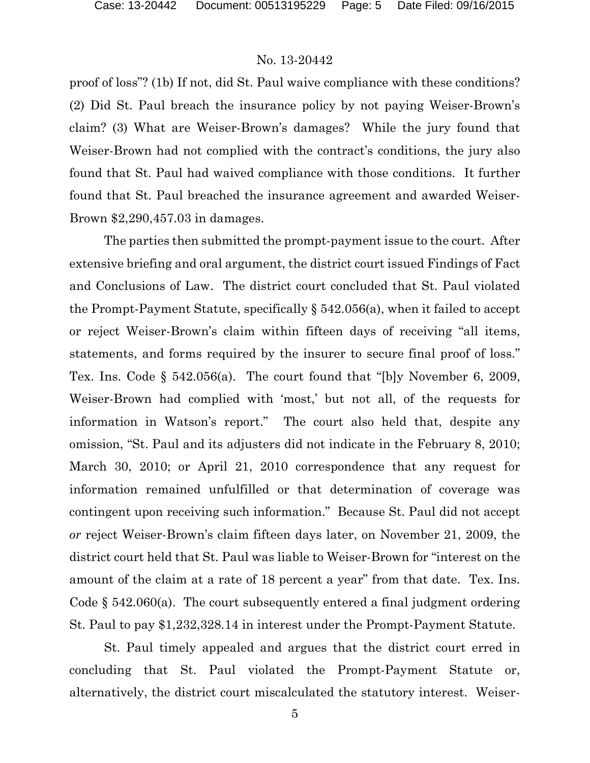proof of loss"? (1b) If not, did St. Paul waive compliance with these conditions? (2) Did St. Paul breach the insurance policy by not paying Weiser-Brown's claim? (3) What are Weiser-Brown's damages? While the jury found that Weiser-Brown had not complied with the contract's conditions, the jury also found that St. Paul had waived compliance with those conditions. It further found that St. Paul breached the insurance agreement and awarded Weiser-Brown \$2,290,457.03 in damages.

The parties then submitted the prompt-payment issue to the court. After extensive briefing and oral argument, the district court issued Findings of Fact and Conclusions of Law. The district court concluded that St. Paul violated the Prompt-Payment Statute, specifically § 542.056(a), when it failed to accept or reject Weiser-Brown's claim within fifteen days of receiving "all items, statements, and forms required by the insurer to secure final proof of loss." Tex. Ins. Code § 542.056(a). The court found that "[b]y November 6, 2009, Weiser-Brown had complied with 'most,' but not all, of the requests for information in Watson's report." The court also held that, despite any omission, "St. Paul and its adjusters did not indicate in the February 8, 2010; March 30, 2010; or April 21, 2010 correspondence that any request for information remained unfulfilled or that determination of coverage was contingent upon receiving such information." Because St. Paul did not accept *or* reject Weiser-Brown's claim fifteen days later, on November 21, 2009, the district court held that St. Paul was liable to Weiser-Brown for "interest on the amount of the claim at a rate of 18 percent a year" from that date. Tex. Ins. Code  $\S$  542.060(a). The court subsequently entered a final judgment ordering St. Paul to pay \$1,232,328.14 in interest under the Prompt-Payment Statute.

St. Paul timely appealed and argues that the district court erred in concluding that St. Paul violated the Prompt-Payment Statute or, alternatively, the district court miscalculated the statutory interest. Weiser-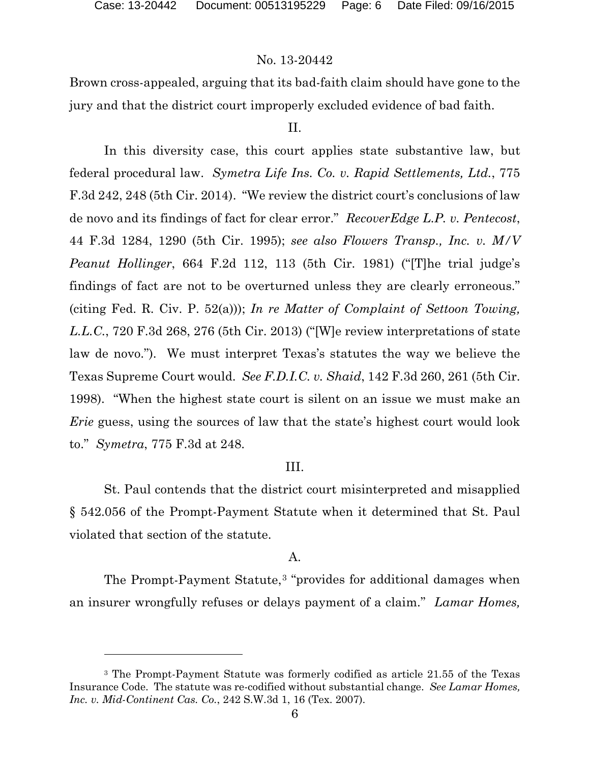### No. 13-20442

Brown cross-appealed, arguing that its bad-faith claim should have gone to the jury and that the district court improperly excluded evidence of bad faith.

#### II.

In this diversity case, this court applies state substantive law, but federal procedural law. *Symetra Life Ins. Co. v. Rapid Settlements, Ltd.*, 775 F.3d 242, 248 (5th Cir. 2014). "We review the district court's conclusions of law de novo and its findings of fact for clear error." *RecoverEdge L.P. v. Pentecost*, 44 F.3d 1284, 1290 (5th Cir. 1995); *see also Flowers Transp., Inc. v. M/V Peanut Hollinger*, 664 F.2d 112, 113 (5th Cir. 1981) ("[T]he trial judge's findings of fact are not to be overturned unless they are clearly erroneous." (citing Fed. R. Civ. P. 52(a))); *In re Matter of Complaint of Settoon Towing, L.L.C.*, 720 F.3d 268, 276 (5th Cir. 2013) ("[W]e review interpretations of state law de novo."). We must interpret Texas's statutes the way we believe the Texas Supreme Court would. *See F.D.I.C. v. Shaid*, 142 F.3d 260, 261 (5th Cir. 1998). "When the highest state court is silent on an issue we must make an *Erie* guess, using the sources of law that the state's highest court would look to." *Symetra*, 775 F.3d at 248.

### III.

St. Paul contends that the district court misinterpreted and misapplied § 542.056 of the Prompt-Payment Statute when it determined that St. Paul violated that section of the statute.

#### A.

The Prompt-Payment Statute,<sup>[3](#page-5-0)</sup> "provides for additional damages when an insurer wrongfully refuses or delays payment of a claim." *Lamar Homes,* 

<span id="page-5-0"></span><sup>3</sup> The Prompt-Payment Statute was formerly codified as article 21.55 of the Texas Insurance Code. The statute was re-codified without substantial change. *See Lamar Homes, Inc. v. Mid-Continent Cas. Co.*, 242 S.W.3d 1, 16 (Tex. 2007).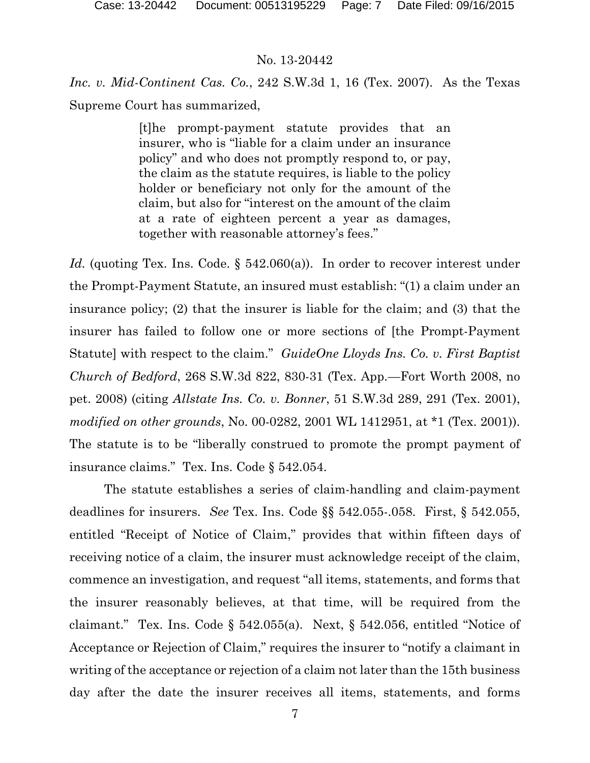*Inc. v. Mid-Continent Cas. Co.*, 242 S.W.3d 1, 16 (Tex. 2007). As the Texas Supreme Court has summarized,

> [t]he prompt-payment statute provides that an insurer, who is "liable for a claim under an insurance policy" and who does not promptly respond to, or pay, the claim as the statute requires, is liable to the policy holder or beneficiary not only for the amount of the claim, but also for "interest on the amount of the claim at a rate of eighteen percent a year as damages, together with reasonable attorney's fees."

*Id.* (quoting Tex. Ins. Code. § 542.060(a)). In order to recover interest under the Prompt-Payment Statute, an insured must establish: "(1) a claim under an insurance policy; (2) that the insurer is liable for the claim; and (3) that the insurer has failed to follow one or more sections of [the Prompt-Payment Statute] with respect to the claim." *GuideOne Lloyds Ins. Co. v. First Baptist Church of Bedford*, 268 S.W.3d 822, 830-31 (Tex. App.—Fort Worth 2008, no pet. 2008) (citing *Allstate Ins. Co. v. Bonner*, 51 S.W.3d 289, 291 (Tex. 2001), *modified on other grounds*, No. 00-0282, 2001 WL 1412951, at \*1 (Tex. 2001)). The statute is to be "liberally construed to promote the prompt payment of insurance claims." Tex. Ins. Code § 542.054.

The statute establishes a series of claim-handling and claim-payment deadlines for insurers. *See* Tex. Ins. Code §§ 542.055-.058. First, § 542.055, entitled "Receipt of Notice of Claim," provides that within fifteen days of receiving notice of a claim, the insurer must acknowledge receipt of the claim, commence an investigation, and request "all items, statements, and forms that the insurer reasonably believes, at that time, will be required from the claimant." Tex. Ins. Code § 542.055(a). Next, § 542.056, entitled "Notice of Acceptance or Rejection of Claim," requires the insurer to "notify a claimant in writing of the acceptance or rejection of a claim not later than the 15th business day after the date the insurer receives all items, statements, and forms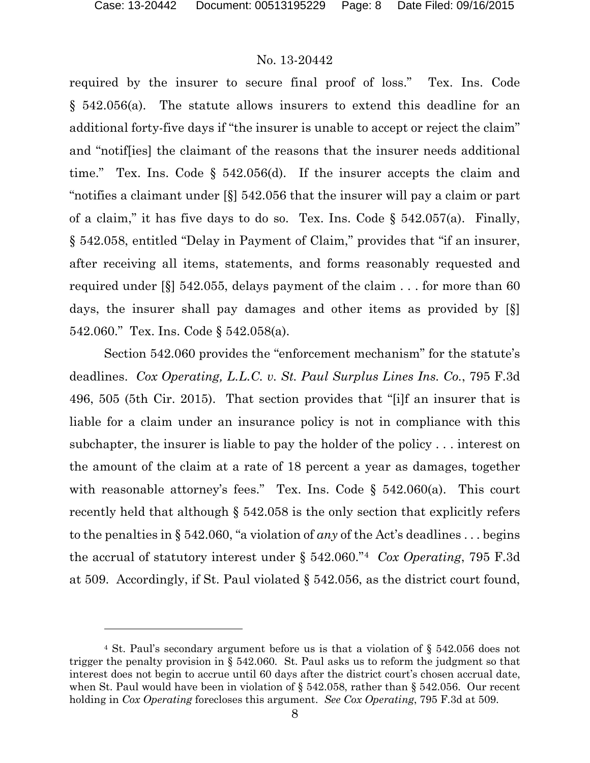### No. 13-20442

required by the insurer to secure final proof of loss." Tex. Ins. Code § 542.056(a). The statute allows insurers to extend this deadline for an additional forty-five days if "the insurer is unable to accept or reject the claim" and "notif[ies] the claimant of the reasons that the insurer needs additional time." Tex. Ins. Code § 542.056(d). If the insurer accepts the claim and "notifies a claimant under [§] 542.056 that the insurer will pay a claim or part of a claim," it has five days to do so. Tex. Ins. Code  $\S$  542.057(a). Finally, § 542.058, entitled "Delay in Payment of Claim," provides that "if an insurer, after receiving all items, statements, and forms reasonably requested and required under [§] 542.055, delays payment of the claim . . . for more than 60 days, the insurer shall pay damages and other items as provided by [§] 542.060." Tex. Ins. Code § 542.058(a).

Section 542.060 provides the "enforcement mechanism" for the statute's deadlines. *Cox Operating, L.L.C. v. St. Paul Surplus Lines Ins. Co.*, 795 F.3d 496, 505 (5th Cir. 2015). That section provides that "[i]f an insurer that is liable for a claim under an insurance policy is not in compliance with this subchapter, the insurer is liable to pay the holder of the policy . . . interest on the amount of the claim at a rate of 18 percent a year as damages, together with reasonable attorney's fees." Tex. Ins. Code  $\S$  542.060(a). This court recently held that although § 542.058 is the only section that explicitly refers to the penalties in § 542.060, "a violation of *any* of the Act's deadlines . . . begins the accrual of statutory interest under § 542.060."[4](#page-7-0) *Cox Operating*, 795 F.3d at 509. Accordingly, if St. Paul violated § 542.056, as the district court found,

<span id="page-7-0"></span><sup>4</sup> St. Paul's secondary argument before us is that a violation of § 542.056 does not trigger the penalty provision in § 542.060. St. Paul asks us to reform the judgment so that interest does not begin to accrue until 60 days after the district court's chosen accrual date, when St. Paul would have been in violation of § 542.058, rather than § 542.056. Our recent holding in *Cox Operating* forecloses this argument. *See Cox Operating*, 795 F.3d at 509.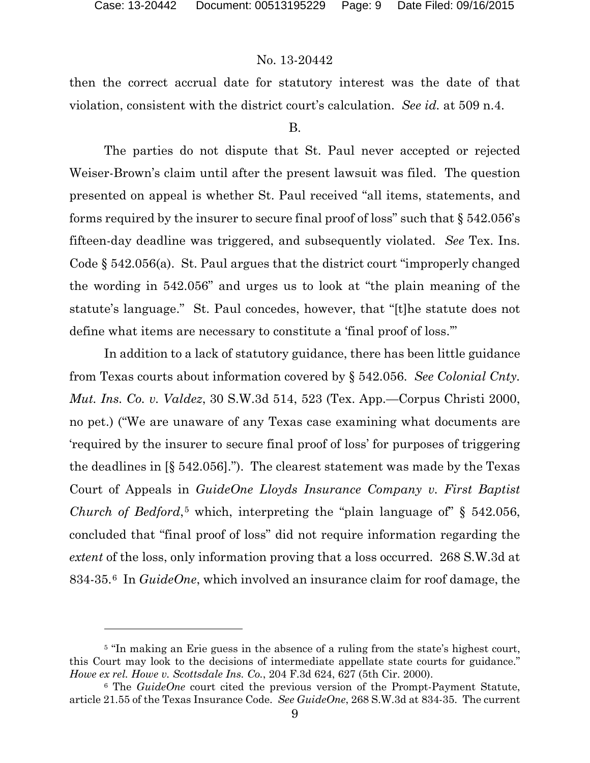### No. 13-20442

then the correct accrual date for statutory interest was the date of that violation, consistent with the district court's calculation. *See id.* at 509 n.4.

#### B.

The parties do not dispute that St. Paul never accepted or rejected Weiser-Brown's claim until after the present lawsuit was filed. The question presented on appeal is whether St. Paul received "all items, statements, and forms required by the insurer to secure final proof of loss" such that  $\S 542.056$ 's fifteen-day deadline was triggered, and subsequently violated. *See* Tex. Ins. Code § 542.056(a). St. Paul argues that the district court "improperly changed the wording in 542.056" and urges us to look at "the plain meaning of the statute's language." St. Paul concedes, however, that "[t]he statute does not define what items are necessary to constitute a 'final proof of loss.'"

In addition to a lack of statutory guidance, there has been little guidance from Texas courts about information covered by § 542.056. *See Colonial Cnty. Mut. Ins. Co. v. Valdez*, 30 S.W.3d 514, 523 (Tex. App.—Corpus Christi 2000, no pet.) ("We are unaware of any Texas case examining what documents are 'required by the insurer to secure final proof of loss' for purposes of triggering the deadlines in [§ 542.056]."). The clearest statement was made by the Texas Court of Appeals in *GuideOne Lloyds Insurance Company v. First Baptist Church of Bedford*<sup>[5](#page-8-0)</sup>, which, interpreting the "plain language of" § 542.056, concluded that "final proof of loss" did not require information regarding the *extent* of the loss, only information proving that a loss occurred. 268 S.W.3d at 834-35.[6](#page-8-1) In *GuideOne*, which involved an insurance claim for roof damage, the

<span id="page-8-0"></span><sup>&</sup>lt;sup>5</sup> "In making an Erie guess in the absence of a ruling from the state's highest court, this Court may look to the decisions of intermediate appellate state courts for guidance." *Howe ex rel. Howe v. Scottsdale Ins. Co.*, 204 F.3d 624, 627 (5th Cir. 2000).

<span id="page-8-1"></span><sup>6</sup> The *GuideOne* court cited the previous version of the Prompt-Payment Statute, article 21.55 of the Texas Insurance Code. *See GuideOne*, 268 S.W.3d at 834-35. The current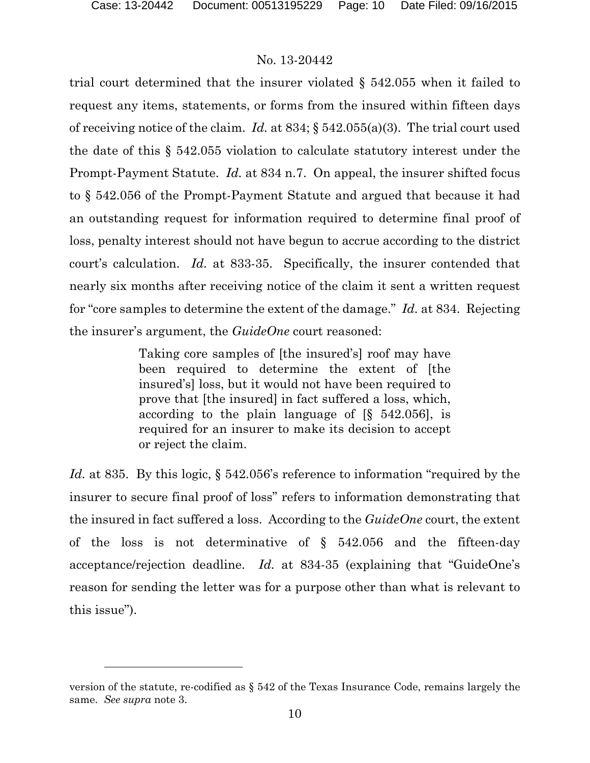### No. 13-20442

trial court determined that the insurer violated § 542.055 when it failed to request any items, statements, or forms from the insured within fifteen days of receiving notice of the claim. *Id.* at 834; § 542.055(a)(3). The trial court used the date of this § 542.055 violation to calculate statutory interest under the Prompt-Payment Statute. *Id.* at 834 n.7. On appeal, the insurer shifted focus to § 542.056 of the Prompt-Payment Statute and argued that because it had an outstanding request for information required to determine final proof of loss, penalty interest should not have begun to accrue according to the district court's calculation. *Id.* at 833-35. Specifically, the insurer contended that nearly six months after receiving notice of the claim it sent a written request for "core samples to determine the extent of the damage." *Id.* at 834. Rejecting the insurer's argument, the *GuideOne* court reasoned:

> Taking core samples of [the insured's] roof may have been required to determine the extent of [the insured's] loss, but it would not have been required to prove that [the insured] in fact suffered a loss, which, according to the plain language of [§ 542.056], is required for an insurer to make its decision to accept or reject the claim.

*Id.* at 835. By this logic, § 542.056's reference to information "required by the insurer to secure final proof of loss" refers to information demonstrating that the insured in fact suffered a loss. According to the *GuideOne* court, the extent of the loss is not determinative of § 542.056 and the fifteen-day acceptance/rejection deadline. *Id.* at 834-35 (explaining that "GuideOne's reason for sending the letter was for a purpose other than what is relevant to this issue").

version of the statute, re-codified as § 542 of the Texas Insurance Code, remains largely the same. *See supra* note 3.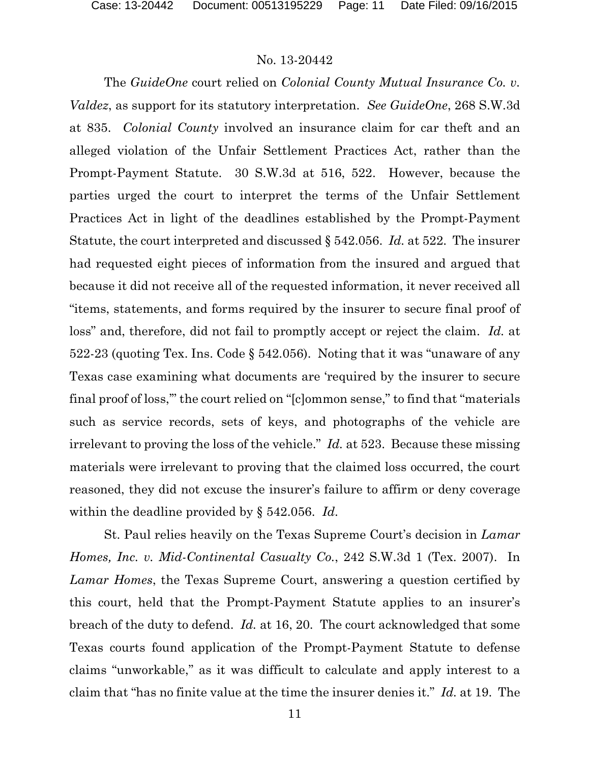The *GuideOne* court relied on *Colonial County Mutual Insurance Co. v. Valdez*, as support for its statutory interpretation. *See GuideOne*, 268 S.W.3d at 835. *Colonial County* involved an insurance claim for car theft and an alleged violation of the Unfair Settlement Practices Act, rather than the Prompt-Payment Statute. 30 S.W.3d at 516, 522. However, because the parties urged the court to interpret the terms of the Unfair Settlement Practices Act in light of the deadlines established by the Prompt-Payment Statute, the court interpreted and discussed § 542.056. *Id.* at 522. The insurer had requested eight pieces of information from the insured and argued that because it did not receive all of the requested information, it never received all "items, statements, and forms required by the insurer to secure final proof of loss" and, therefore, did not fail to promptly accept or reject the claim. *Id.* at 522-23 (quoting Tex. Ins. Code § 542.056). Noting that it was "unaware of any Texas case examining what documents are 'required by the insurer to secure final proof of loss,'" the court relied on "[c]ommon sense," to find that "materials such as service records, sets of keys, and photographs of the vehicle are irrelevant to proving the loss of the vehicle." *Id.* at 523. Because these missing materials were irrelevant to proving that the claimed loss occurred, the court reasoned, they did not excuse the insurer's failure to affirm or deny coverage within the deadline provided by § 542.056. *Id*.

St. Paul relies heavily on the Texas Supreme Court's decision in *Lamar Homes, Inc. v. Mid-Continental Casualty Co.*, 242 S.W.3d 1 (Tex. 2007). In *Lamar Homes*, the Texas Supreme Court, answering a question certified by this court, held that the Prompt-Payment Statute applies to an insurer's breach of the duty to defend. *Id.* at 16, 20. The court acknowledged that some Texas courts found application of the Prompt-Payment Statute to defense claims "unworkable," as it was difficult to calculate and apply interest to a claim that "has no finite value at the time the insurer denies it." *Id.* at 19. The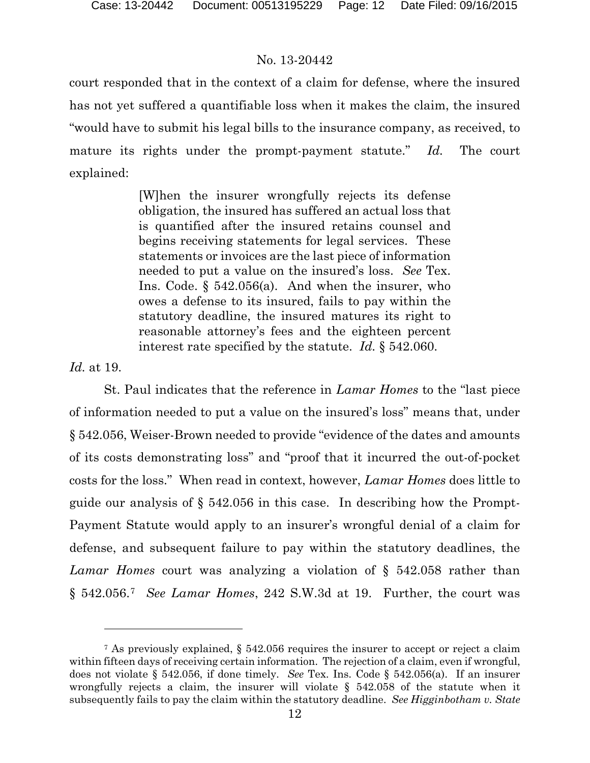court responded that in the context of a claim for defense, where the insured has not yet suffered a quantifiable loss when it makes the claim, the insured "would have to submit his legal bills to the insurance company, as received, to mature its rights under the prompt-payment statute." *Id.* The court explained:

> [W]hen the insurer wrongfully rejects its defense obligation, the insured has suffered an actual loss that is quantified after the insured retains counsel and begins receiving statements for legal services. These statements or invoices are the last piece of information needed to put a value on the insured's loss. *See* Tex. Ins. Code. § 542.056(a). And when the insurer, who owes a defense to its insured, fails to pay within the statutory deadline, the insured matures its right to reasonable attorney's fees and the eighteen percent interest rate specified by the statute. *Id.* § 542.060.

*Id.* at 19.

l

St. Paul indicates that the reference in *Lamar Homes* to the "last piece of information needed to put a value on the insured's loss" means that, under § 542.056, Weiser-Brown needed to provide "evidence of the dates and amounts of its costs demonstrating loss" and "proof that it incurred the out-of-pocket costs for the loss." When read in context, however, *Lamar Homes* does little to guide our analysis of § 542.056 in this case. In describing how the Prompt-Payment Statute would apply to an insurer's wrongful denial of a claim for defense, and subsequent failure to pay within the statutory deadlines, the *Lamar Homes* court was analyzing a violation of § 542.058 rather than § 542.056.[7](#page-11-0) *See Lamar Homes*, 242 S.W.3d at 19. Further, the court was

<span id="page-11-0"></span><sup>7</sup> As previously explained, § 542.056 requires the insurer to accept or reject a claim within fifteen days of receiving certain information. The rejection of a claim, even if wrongful, does not violate § 542.056, if done timely. *See* Tex. Ins. Code § 542.056(a). If an insurer wrongfully rejects a claim, the insurer will violate  $\S$  542.058 of the statute when it subsequently fails to pay the claim within the statutory deadline. *See Higginbotham v. State*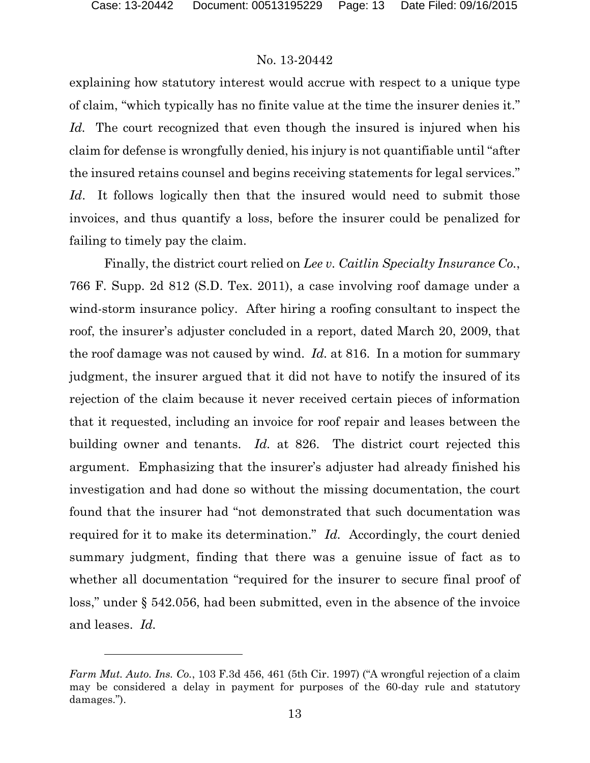### No. 13-20442

explaining how statutory interest would accrue with respect to a unique type of claim, "which typically has no finite value at the time the insurer denies it." *Id.* The court recognized that even though the insured is injured when his claim for defense is wrongfully denied, his injury is not quantifiable until "after the insured retains counsel and begins receiving statements for legal services." *Id*. It follows logically then that the insured would need to submit those invoices, and thus quantify a loss, before the insurer could be penalized for failing to timely pay the claim.

Finally, the district court relied on *Lee v. Caitlin Specialty Insurance Co.*, 766 F. Supp. 2d 812 (S.D. Tex. 2011), a case involving roof damage under a wind-storm insurance policy. After hiring a roofing consultant to inspect the roof, the insurer's adjuster concluded in a report, dated March 20, 2009, that the roof damage was not caused by wind. *Id.* at 816. In a motion for summary judgment, the insurer argued that it did not have to notify the insured of its rejection of the claim because it never received certain pieces of information that it requested, including an invoice for roof repair and leases between the building owner and tenants. *Id.* at 826. The district court rejected this argument. Emphasizing that the insurer's adjuster had already finished his investigation and had done so without the missing documentation, the court found that the insurer had "not demonstrated that such documentation was required for it to make its determination." *Id.* Accordingly, the court denied summary judgment, finding that there was a genuine issue of fact as to whether all documentation "required for the insurer to secure final proof of loss," under § 542.056, had been submitted, even in the absence of the invoice and leases. *Id.*

*Farm Mut. Auto. Ins. Co.*, 103 F.3d 456, 461 (5th Cir. 1997) ("A wrongful rejection of a claim may be considered a delay in payment for purposes of the 60-day rule and statutory damages.").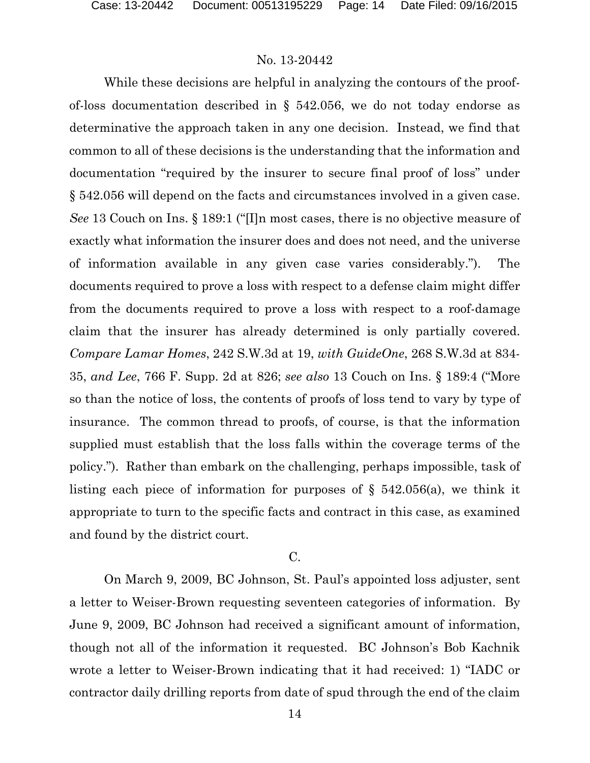While these decisions are helpful in analyzing the contours of the proofof-loss documentation described in § 542.056, we do not today endorse as determinative the approach taken in any one decision. Instead, we find that common to all of these decisions is the understanding that the information and documentation "required by the insurer to secure final proof of loss" under § 542.056 will depend on the facts and circumstances involved in a given case. *See* 13 Couch on Ins. § 189:1 ("[I]n most cases, there is no objective measure of exactly what information the insurer does and does not need, and the universe of information available in any given case varies considerably."). The documents required to prove a loss with respect to a defense claim might differ from the documents required to prove a loss with respect to a roof-damage claim that the insurer has already determined is only partially covered. *Compare Lamar Homes*, 242 S.W.3d at 19, *with GuideOne*, 268 S.W.3d at 834- 35, *and Lee*, 766 F. Supp. 2d at 826; *see also* 13 Couch on Ins. § 189:4 ("More so than the notice of loss, the contents of proofs of loss tend to vary by type of insurance. The common thread to proofs, of course, is that the information supplied must establish that the loss falls within the coverage terms of the policy."). Rather than embark on the challenging, perhaps impossible, task of listing each piece of information for purposes of § 542.056(a), we think it appropriate to turn to the specific facts and contract in this case, as examined and found by the district court.

### C.

On March 9, 2009, BC Johnson, St. Paul's appointed loss adjuster, sent a letter to Weiser-Brown requesting seventeen categories of information. By June 9, 2009, BC Johnson had received a significant amount of information, though not all of the information it requested. BC Johnson's Bob Kachnik wrote a letter to Weiser-Brown indicating that it had received: 1) "IADC or contractor daily drilling reports from date of spud through the end of the claim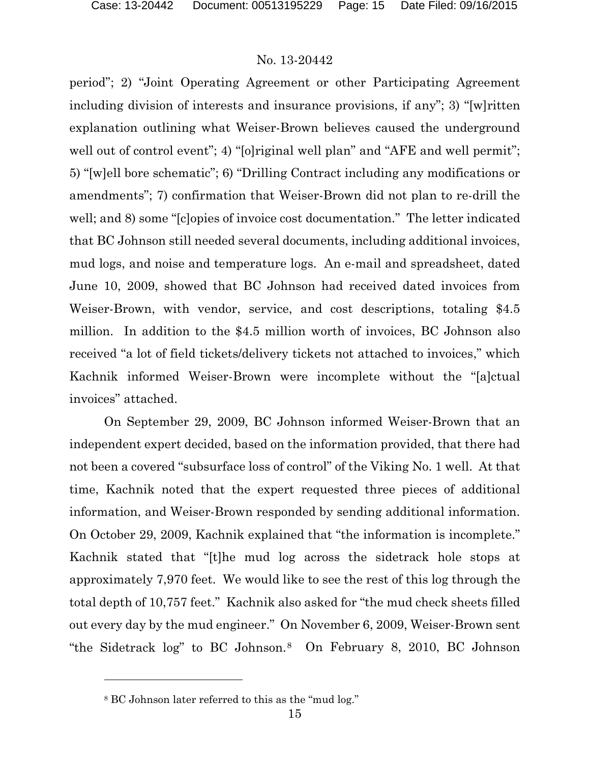period"; 2) "Joint Operating Agreement or other Participating Agreement including division of interests and insurance provisions, if any"; 3) "[w]ritten explanation outlining what Weiser-Brown believes caused the underground well out of control event"; 4) "[o]riginal well plan" and "AFE and well permit"; 5) "[w]ell bore schematic"; 6) "Drilling Contract including any modifications or amendments"; 7) confirmation that Weiser-Brown did not plan to re-drill the well; and 8) some "[c]opies of invoice cost documentation." The letter indicated that BC Johnson still needed several documents, including additional invoices, mud logs, and noise and temperature logs. An e-mail and spreadsheet, dated June 10, 2009, showed that BC Johnson had received dated invoices from Weiser-Brown, with vendor, service, and cost descriptions, totaling \$4.5 million. In addition to the \$4.5 million worth of invoices, BC Johnson also received "a lot of field tickets/delivery tickets not attached to invoices," which Kachnik informed Weiser-Brown were incomplete without the "[a]ctual invoices" attached.

On September 29, 2009, BC Johnson informed Weiser-Brown that an independent expert decided, based on the information provided, that there had not been a covered "subsurface loss of control" of the Viking No. 1 well. At that time, Kachnik noted that the expert requested three pieces of additional information, and Weiser-Brown responded by sending additional information. On October 29, 2009, Kachnik explained that "the information is incomplete." Kachnik stated that "[t]he mud log across the sidetrack hole stops at approximately 7,970 feet. We would like to see the rest of this log through the total depth of 10,757 feet." Kachnik also asked for "the mud check sheets filled out every day by the mud engineer." On November 6, 2009, Weiser-Brown sent "the Sidetrack log" to BC Johnson.[8](#page-14-0) On February 8, 2010, BC Johnson

l

<span id="page-14-0"></span><sup>8</sup> BC Johnson later referred to this as the "mud log."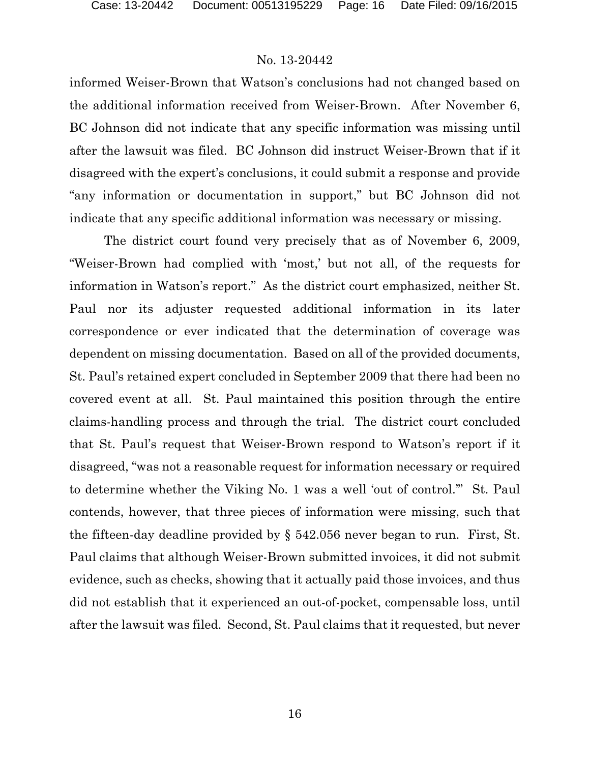informed Weiser-Brown that Watson's conclusions had not changed based on the additional information received from Weiser-Brown. After November 6, BC Johnson did not indicate that any specific information was missing until after the lawsuit was filed. BC Johnson did instruct Weiser-Brown that if it disagreed with the expert's conclusions, it could submit a response and provide "any information or documentation in support," but BC Johnson did not indicate that any specific additional information was necessary or missing.

The district court found very precisely that as of November 6, 2009, "Weiser-Brown had complied with 'most,' but not all, of the requests for information in Watson's report." As the district court emphasized, neither St. Paul nor its adjuster requested additional information in its later correspondence or ever indicated that the determination of coverage was dependent on missing documentation. Based on all of the provided documents, St. Paul's retained expert concluded in September 2009 that there had been no covered event at all. St. Paul maintained this position through the entire claims-handling process and through the trial. The district court concluded that St. Paul's request that Weiser-Brown respond to Watson's report if it disagreed, "was not a reasonable request for information necessary or required to determine whether the Viking No. 1 was a well 'out of control.'" St. Paul contends, however, that three pieces of information were missing, such that the fifteen-day deadline provided by § 542.056 never began to run. First, St. Paul claims that although Weiser-Brown submitted invoices, it did not submit evidence, such as checks, showing that it actually paid those invoices, and thus did not establish that it experienced an out-of-pocket, compensable loss, until after the lawsuit was filed. Second, St. Paul claims that it requested, but never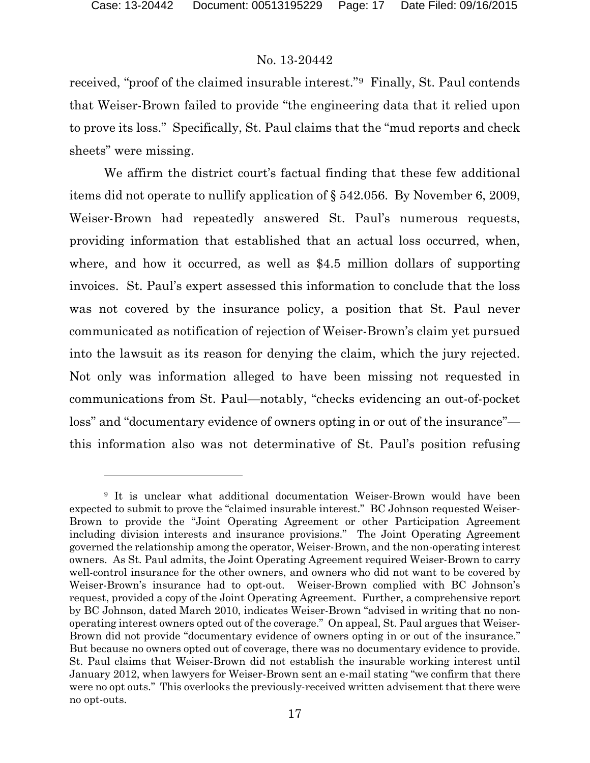### No. 13-20442

received, "proof of the claimed insurable interest."[9](#page-16-0) Finally, St. Paul contends that Weiser-Brown failed to provide "the engineering data that it relied upon to prove its loss." Specifically, St. Paul claims that the "mud reports and check sheets" were missing.

We affirm the district court's factual finding that these few additional items did not operate to nullify application of § 542.056. By November 6, 2009, Weiser-Brown had repeatedly answered St. Paul's numerous requests, providing information that established that an actual loss occurred, when, where, and how it occurred, as well as \$4.5 million dollars of supporting invoices. St. Paul's expert assessed this information to conclude that the loss was not covered by the insurance policy, a position that St. Paul never communicated as notification of rejection of Weiser-Brown's claim yet pursued into the lawsuit as its reason for denying the claim, which the jury rejected. Not only was information alleged to have been missing not requested in communications from St. Paul—notably, "checks evidencing an out-of-pocket loss" and "documentary evidence of owners opting in or out of the insurance" this information also was not determinative of St. Paul's position refusing

<span id="page-16-0"></span><sup>&</sup>lt;sup>9</sup> It is unclear what additional documentation Weiser-Brown would have been expected to submit to prove the "claimed insurable interest." BC Johnson requested Weiser-Brown to provide the "Joint Operating Agreement or other Participation Agreement including division interests and insurance provisions." The Joint Operating Agreement governed the relationship among the operator, Weiser-Brown, and the non-operating interest owners. As St. Paul admits, the Joint Operating Agreement required Weiser-Brown to carry well-control insurance for the other owners, and owners who did not want to be covered by Weiser-Brown's insurance had to opt-out. Weiser-Brown complied with BC Johnson's request, provided a copy of the Joint Operating Agreement. Further, a comprehensive report by BC Johnson, dated March 2010, indicates Weiser-Brown "advised in writing that no nonoperating interest owners opted out of the coverage." On appeal, St. Paul argues that Weiser-Brown did not provide "documentary evidence of owners opting in or out of the insurance." But because no owners opted out of coverage, there was no documentary evidence to provide. St. Paul claims that Weiser-Brown did not establish the insurable working interest until January 2012, when lawyers for Weiser-Brown sent an e-mail stating "we confirm that there were no opt outs." This overlooks the previously-received written advisement that there were no opt-outs.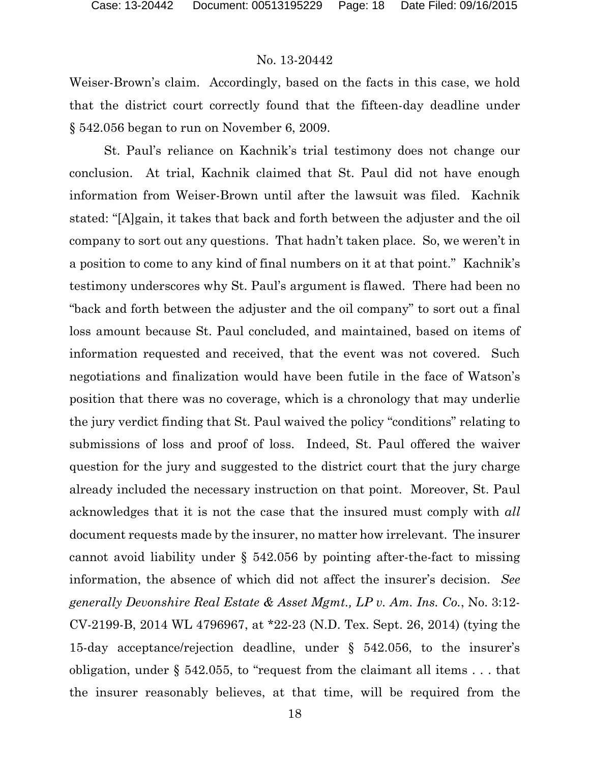Weiser-Brown's claim. Accordingly, based on the facts in this case, we hold that the district court correctly found that the fifteen-day deadline under § 542.056 began to run on November 6, 2009.

St. Paul's reliance on Kachnik's trial testimony does not change our conclusion. At trial, Kachnik claimed that St. Paul did not have enough information from Weiser-Brown until after the lawsuit was filed. Kachnik stated: "[A]gain, it takes that back and forth between the adjuster and the oil company to sort out any questions. That hadn't taken place. So, we weren't in a position to come to any kind of final numbers on it at that point." Kachnik's testimony underscores why St. Paul's argument is flawed. There had been no "back and forth between the adjuster and the oil company" to sort out a final loss amount because St. Paul concluded, and maintained, based on items of information requested and received, that the event was not covered. Such negotiations and finalization would have been futile in the face of Watson's position that there was no coverage, which is a chronology that may underlie the jury verdict finding that St. Paul waived the policy "conditions" relating to submissions of loss and proof of loss. Indeed, St. Paul offered the waiver question for the jury and suggested to the district court that the jury charge already included the necessary instruction on that point. Moreover, St. Paul acknowledges that it is not the case that the insured must comply with *all* document requests made by the insurer, no matter how irrelevant. The insurer cannot avoid liability under § 542.056 by pointing after-the-fact to missing information, the absence of which did not affect the insurer's decision. *See generally Devonshire Real Estate & Asset Mgmt., LP v. Am. Ins. Co.*, No. 3:12- CV-2199-B, 2014 WL 4796967, at \*22-23 (N.D. Tex. Sept. 26, 2014) (tying the 15-day acceptance/rejection deadline, under § 542.056, to the insurer's obligation, under § 542.055, to "request from the claimant all items . . . that the insurer reasonably believes, at that time, will be required from the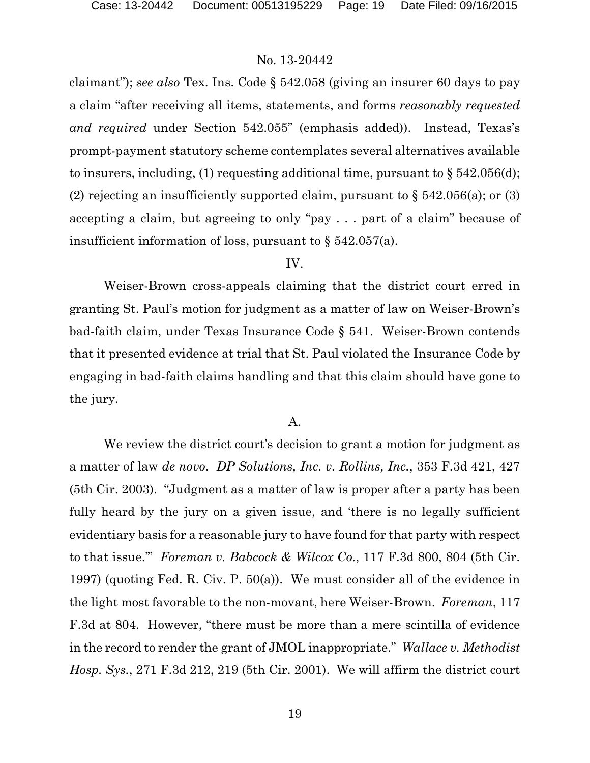claimant"); *see also* Tex. Ins. Code § 542.058 (giving an insurer 60 days to pay a claim "after receiving all items, statements, and forms *reasonably requested and required* under Section 542.055" (emphasis added)). Instead, Texas's prompt-payment statutory scheme contemplates several alternatives available to insurers, including, (1) requesting additional time, pursuant to  $\S 542.056(d)$ ; (2) rejecting an insufficiently supported claim, pursuant to  $\S$  542.056(a); or (3) accepting a claim, but agreeing to only "pay . . . part of a claim" because of insufficient information of loss, pursuant to § 542.057(a).

#### IV.

Weiser-Brown cross-appeals claiming that the district court erred in granting St. Paul's motion for judgment as a matter of law on Weiser-Brown's bad-faith claim, under Texas Insurance Code § 541. Weiser-Brown contends that it presented evidence at trial that St. Paul violated the Insurance Code by engaging in bad-faith claims handling and that this claim should have gone to the jury.

#### A.

We review the district court's decision to grant a motion for judgment as a matter of law *de novo*. *DP Solutions, Inc. v. Rollins, Inc.*, 353 F.3d 421, 427 (5th Cir. 2003). "Judgment as a matter of law is proper after a party has been fully heard by the jury on a given issue, and 'there is no legally sufficient evidentiary basis for a reasonable jury to have found for that party with respect to that issue.'" *Foreman v. Babcock & Wilcox Co.*, 117 F.3d 800, 804 (5th Cir. 1997) (quoting Fed. R. Civ. P. 50(a)). We must consider all of the evidence in the light most favorable to the non-movant, here Weiser-Brown. *Foreman*, 117 F.3d at 804. However, "there must be more than a mere scintilla of evidence in the record to render the grant of JMOL inappropriate." *Wallace v. Methodist Hosp. Sys.*, 271 F.3d 212, 219 (5th Cir. 2001). We will affirm the district court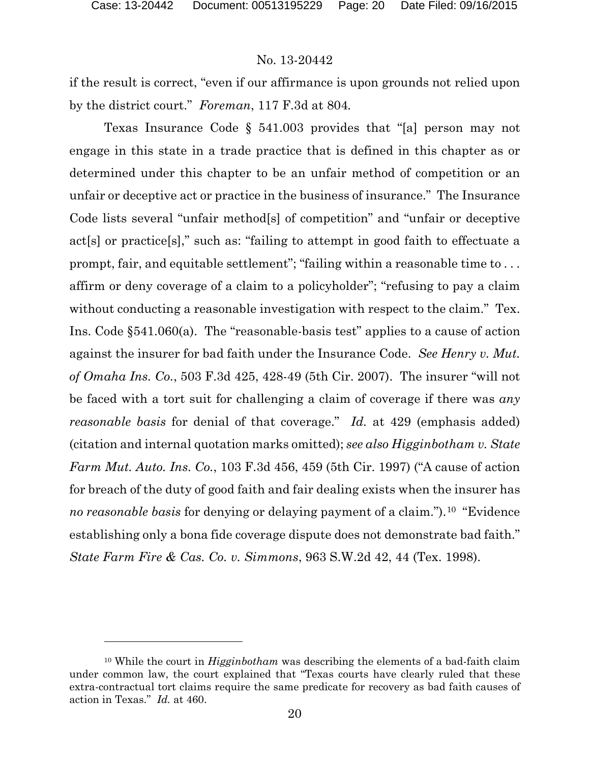### No. 13-20442

if the result is correct, "even if our affirmance is upon grounds not relied upon by the district court." *Foreman*, 117 F.3d at 804*.* 

Texas Insurance Code § 541.003 provides that "[a] person may not engage in this state in a trade practice that is defined in this chapter as or determined under this chapter to be an unfair method of competition or an unfair or deceptive act or practice in the business of insurance." The Insurance Code lists several "unfair method[s] of competition" and "unfair or deceptive act[s] or practice[s]," such as: "failing to attempt in good faith to effectuate a prompt, fair, and equitable settlement"; "failing within a reasonable time to ... affirm or deny coverage of a claim to a policyholder"; "refusing to pay a claim without conducting a reasonable investigation with respect to the claim." Tex. Ins. Code §541.060(a). The "reasonable-basis test" applies to a cause of action against the insurer for bad faith under the Insurance Code. *See Henry v. Mut. of Omaha Ins. Co.*, 503 F.3d 425, 428-49 (5th Cir. 2007). The insurer "will not be faced with a tort suit for challenging a claim of coverage if there was *any reasonable basis* for denial of that coverage." *Id.* at 429 (emphasis added) (citation and internal quotation marks omitted); *see also Higginbotham v. State Farm Mut. Auto. Ins. Co.*, 103 F.3d 456, 459 (5th Cir. 1997) ("A cause of action for breach of the duty of good faith and fair dealing exists when the insurer has *no reasonable basis* for denying or delaying payment of a claim.").<sup>[10](#page-19-0)</sup> "Evidence" establishing only a bona fide coverage dispute does not demonstrate bad faith." *State Farm Fire & Cas. Co. v. Simmons*, 963 S.W.2d 42, 44 (Tex. 1998).

<span id="page-19-0"></span><sup>10</sup> While the court in *Higginbotham* was describing the elements of a bad-faith claim under common law, the court explained that "Texas courts have clearly ruled that these extra-contractual tort claims require the same predicate for recovery as bad faith causes of action in Texas." *Id.* at 460.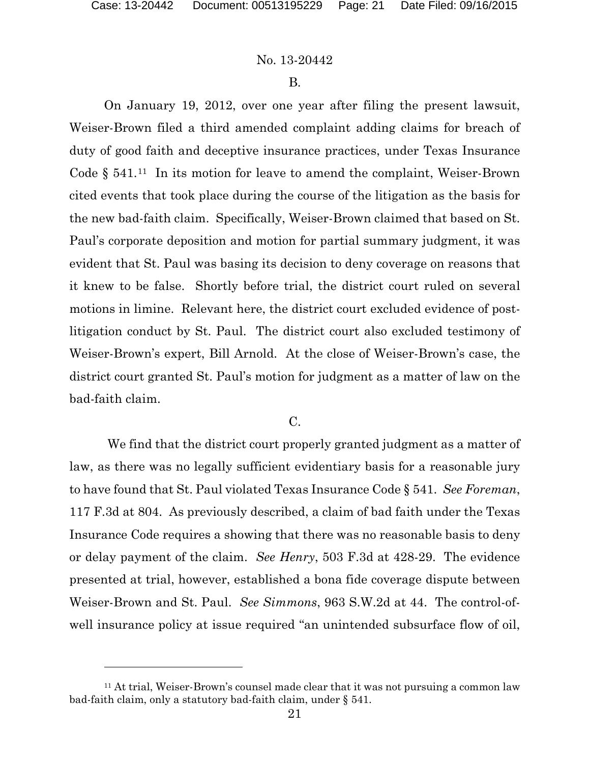### No. 13-20442

#### B.

On January 19, 2012, over one year after filing the present lawsuit, Weiser-Brown filed a third amended complaint adding claims for breach of duty of good faith and deceptive insurance practices, under Texas Insurance Code  $\S$  541.<sup>[11](#page-20-0)</sup> In its motion for leave to amend the complaint, Weiser-Brown cited events that took place during the course of the litigation as the basis for the new bad-faith claim. Specifically, Weiser-Brown claimed that based on St. Paul's corporate deposition and motion for partial summary judgment, it was evident that St. Paul was basing its decision to deny coverage on reasons that it knew to be false. Shortly before trial, the district court ruled on several motions in limine. Relevant here, the district court excluded evidence of postlitigation conduct by St. Paul. The district court also excluded testimony of Weiser-Brown's expert, Bill Arnold. At the close of Weiser-Brown's case, the district court granted St. Paul's motion for judgment as a matter of law on the bad-faith claim.

 $C<sub>r</sub>$ 

We find that the district court properly granted judgment as a matter of law, as there was no legally sufficient evidentiary basis for a reasonable jury to have found that St. Paul violated Texas Insurance Code § 541. *See Foreman*, 117 F.3d at 804. As previously described, a claim of bad faith under the Texas Insurance Code requires a showing that there was no reasonable basis to deny or delay payment of the claim. *See Henry*, 503 F.3d at 428-29. The evidence presented at trial, however, established a bona fide coverage dispute between Weiser-Brown and St. Paul. *See Simmons*, 963 S.W.2d at 44. The control-ofwell insurance policy at issue required "an unintended subsurface flow of oil,

<span id="page-20-0"></span><sup>11</sup> At trial, Weiser-Brown's counsel made clear that it was not pursuing a common law bad-faith claim, only a statutory bad-faith claim, under § 541.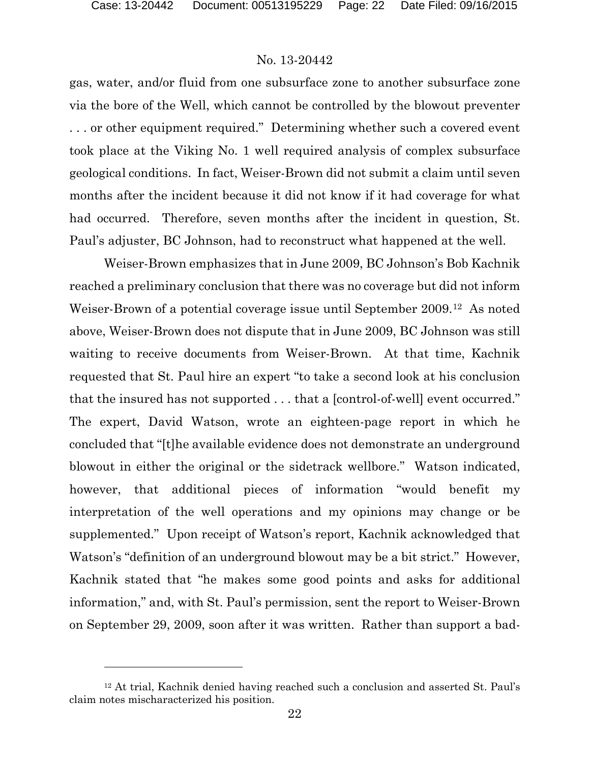### No. 13-20442

gas, water, and/or fluid from one subsurface zone to another subsurface zone via the bore of the Well, which cannot be controlled by the blowout preventer . . . or other equipment required." Determining whether such a covered event took place at the Viking No. 1 well required analysis of complex subsurface geological conditions. In fact, Weiser-Brown did not submit a claim until seven months after the incident because it did not know if it had coverage for what had occurred. Therefore, seven months after the incident in question, St. Paul's adjuster, BC Johnson, had to reconstruct what happened at the well.

Weiser-Brown emphasizes that in June 2009, BC Johnson's Bob Kachnik reached a preliminary conclusion that there was no coverage but did not inform Weiser-Brown of a potential coverage issue until September 2009.[12](#page-21-0) As noted above, Weiser-Brown does not dispute that in June 2009, BC Johnson was still waiting to receive documents from Weiser-Brown. At that time, Kachnik requested that St. Paul hire an expert "to take a second look at his conclusion that the insured has not supported . . . that a [control-of-well] event occurred." The expert, David Watson, wrote an eighteen-page report in which he concluded that "[t]he available evidence does not demonstrate an underground blowout in either the original or the sidetrack wellbore." Watson indicated, however, that additional pieces of information "would benefit my interpretation of the well operations and my opinions may change or be supplemented." Upon receipt of Watson's report, Kachnik acknowledged that Watson's "definition of an underground blowout may be a bit strict." However, Kachnik stated that "he makes some good points and asks for additional information," and, with St. Paul's permission, sent the report to Weiser-Brown on September 29, 2009, soon after it was written. Rather than support a bad-

<span id="page-21-0"></span><sup>12</sup> At trial, Kachnik denied having reached such a conclusion and asserted St. Paul's claim notes mischaracterized his position.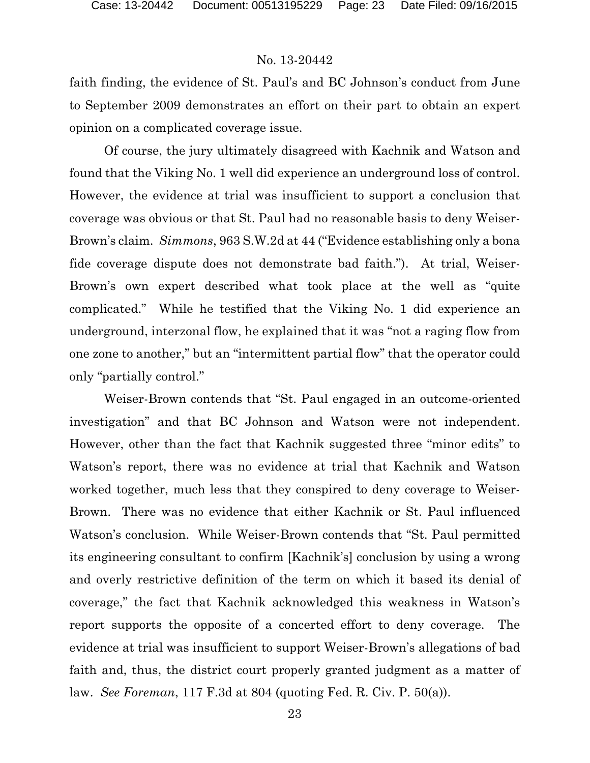faith finding, the evidence of St. Paul's and BC Johnson's conduct from June to September 2009 demonstrates an effort on their part to obtain an expert opinion on a complicated coverage issue.

Of course, the jury ultimately disagreed with Kachnik and Watson and found that the Viking No. 1 well did experience an underground loss of control. However, the evidence at trial was insufficient to support a conclusion that coverage was obvious or that St. Paul had no reasonable basis to deny Weiser-Brown's claim. *Simmons*, 963 S.W.2d at 44 ("Evidence establishing only a bona fide coverage dispute does not demonstrate bad faith."). At trial, Weiser-Brown's own expert described what took place at the well as "quite complicated." While he testified that the Viking No. 1 did experience an underground, interzonal flow, he explained that it was "not a raging flow from one zone to another," but an "intermittent partial flow" that the operator could only "partially control."

Weiser-Brown contends that "St. Paul engaged in an outcome-oriented investigation" and that BC Johnson and Watson were not independent. However, other than the fact that Kachnik suggested three "minor edits" to Watson's report, there was no evidence at trial that Kachnik and Watson worked together, much less that they conspired to deny coverage to Weiser-Brown. There was no evidence that either Kachnik or St. Paul influenced Watson's conclusion. While Weiser-Brown contends that "St. Paul permitted its engineering consultant to confirm [Kachnik's] conclusion by using a wrong and overly restrictive definition of the term on which it based its denial of coverage," the fact that Kachnik acknowledged this weakness in Watson's report supports the opposite of a concerted effort to deny coverage. The evidence at trial was insufficient to support Weiser-Brown's allegations of bad faith and, thus, the district court properly granted judgment as a matter of law. *See Foreman*, 117 F.3d at 804 (quoting Fed. R. Civ. P. 50(a)).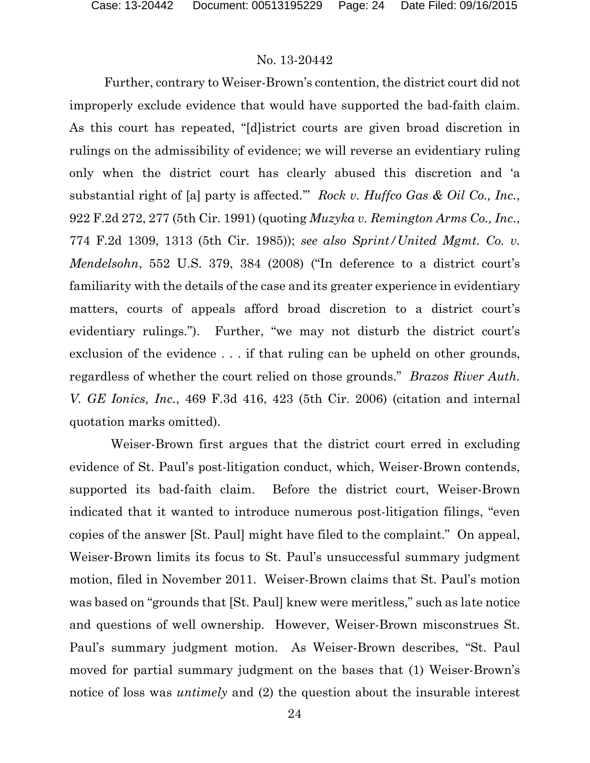Further, contrary to Weiser-Brown's contention, the district court did not improperly exclude evidence that would have supported the bad-faith claim. As this court has repeated, "[d]istrict courts are given broad discretion in rulings on the admissibility of evidence; we will reverse an evidentiary ruling only when the district court has clearly abused this discretion and 'a substantial right of [a] party is affected.'" *Rock v. Huffco Gas & Oil Co., Inc.*, 922 F.2d 272, 277 (5th Cir. 1991) (quoting *Muzyka v. Remington Arms Co., Inc.*, 774 F.2d 1309, 1313 (5th Cir. 1985)); *see also Sprint/United Mgmt. Co. v. Mendelsohn*, 552 U.S. 379, 384 (2008) ("In deference to a district court's familiarity with the details of the case and its greater experience in evidentiary matters, courts of appeals afford broad discretion to a district court's evidentiary rulings."). Further, "we may not disturb the district court's exclusion of the evidence . . . if that ruling can be upheld on other grounds, regardless of whether the court relied on those grounds." *Brazos River Auth. V. GE Ionics, Inc.*, 469 F.3d 416, 423 (5th Cir. 2006) (citation and internal quotation marks omitted).

 Weiser-Brown first argues that the district court erred in excluding evidence of St. Paul's post-litigation conduct, which, Weiser-Brown contends, supported its bad-faith claim. Before the district court, Weiser-Brown indicated that it wanted to introduce numerous post-litigation filings, "even copies of the answer [St. Paul] might have filed to the complaint." On appeal, Weiser-Brown limits its focus to St. Paul's unsuccessful summary judgment motion, filed in November 2011. Weiser-Brown claims that St. Paul's motion was based on "grounds that [St. Paul] knew were meritless," such as late notice and questions of well ownership. However, Weiser-Brown misconstrues St. Paul's summary judgment motion. As Weiser-Brown describes, "St. Paul moved for partial summary judgment on the bases that (1) Weiser-Brown's notice of loss was *untimely* and (2) the question about the insurable interest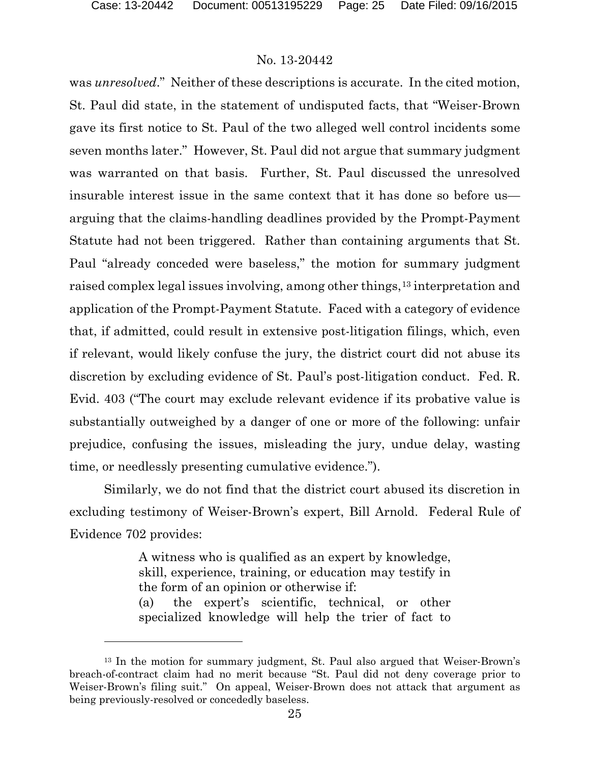### No. 13-20442

was *unresolved*." Neither of these descriptions is accurate. In the cited motion, St. Paul did state, in the statement of undisputed facts, that "Weiser-Brown gave its first notice to St. Paul of the two alleged well control incidents some seven months later." However, St. Paul did not argue that summary judgment was warranted on that basis. Further, St. Paul discussed the unresolved insurable interest issue in the same context that it has done so before us arguing that the claims-handling deadlines provided by the Prompt-Payment Statute had not been triggered. Rather than containing arguments that St. Paul "already conceded were baseless," the motion for summary judgment raised complex legal issues involving, among other things,<sup>[13](#page-24-0)</sup> interpretation and application of the Prompt-Payment Statute. Faced with a category of evidence that, if admitted, could result in extensive post-litigation filings, which, even if relevant, would likely confuse the jury, the district court did not abuse its discretion by excluding evidence of St. Paul's post-litigation conduct. Fed. R. Evid. 403 ("The court may exclude relevant evidence if its probative value is substantially outweighed by a danger of one or more of the following: unfair prejudice, confusing the issues, misleading the jury, undue delay, wasting time, or needlessly presenting cumulative evidence.").

Similarly, we do not find that the district court abused its discretion in excluding testimony of Weiser-Brown's expert, Bill Arnold. Federal Rule of Evidence 702 provides:

> A witness who is qualified as an expert by knowledge, skill, experience, training, or education may testify in the form of an opinion or otherwise if: (a) the expert's scientific, technical, or other specialized knowledge will help the trier of fact to

<span id="page-24-0"></span><sup>13</sup> In the motion for summary judgment, St. Paul also argued that Weiser-Brown's breach-of-contract claim had no merit because "St. Paul did not deny coverage prior to Weiser-Brown's filing suit." On appeal, Weiser-Brown does not attack that argument as being previously-resolved or concededly baseless.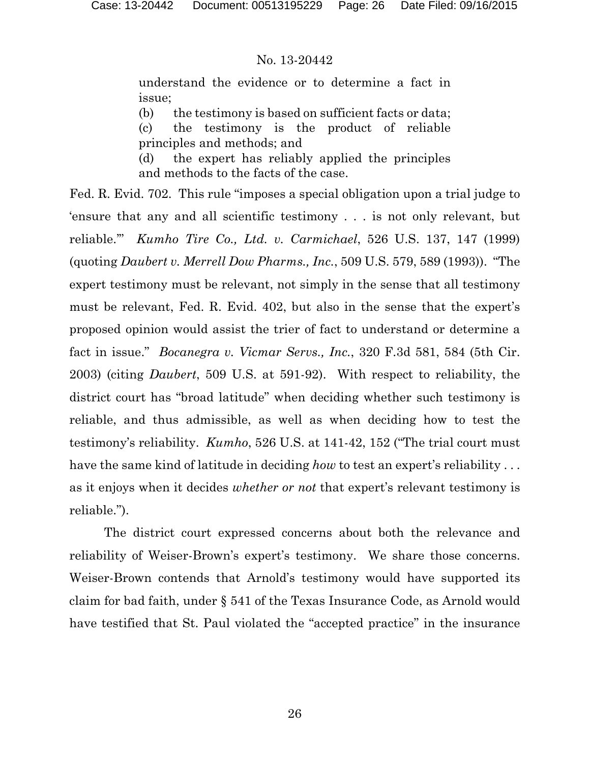understand the evidence or to determine a fact in issue;

(b) the testimony is based on sufficient facts or data;

(c) the testimony is the product of reliable principles and methods; and

(d) the expert has reliably applied the principles and methods to the facts of the case.

Fed. R. Evid. 702. This rule "imposes a special obligation upon a trial judge to 'ensure that any and all scientific testimony . . . is not only relevant, but reliable.'" *Kumho Tire Co., Ltd. v. Carmichael*, 526 U.S. 137, 147 (1999) (quoting *Daubert v. Merrell Dow Pharms., Inc.*, 509 U.S. 579, 589 (1993)). "The expert testimony must be relevant, not simply in the sense that all testimony must be relevant, Fed. R. Evid. 402, but also in the sense that the expert's proposed opinion would assist the trier of fact to understand or determine a fact in issue." *Bocanegra v. Vicmar Servs., Inc.*, 320 F.3d 581, 584 (5th Cir. 2003) (citing *Daubert*, 509 U.S. at 591-92). With respect to reliability, the district court has "broad latitude" when deciding whether such testimony is reliable, and thus admissible, as well as when deciding how to test the testimony's reliability. *Kumho*, 526 U.S. at 141-42, 152 ("The trial court must have the same kind of latitude in deciding *how* to test an expert's reliability . . . as it enjoys when it decides *whether or not* that expert's relevant testimony is reliable.").

The district court expressed concerns about both the relevance and reliability of Weiser-Brown's expert's testimony. We share those concerns. Weiser-Brown contends that Arnold's testimony would have supported its claim for bad faith, under § 541 of the Texas Insurance Code, as Arnold would have testified that St. Paul violated the "accepted practice" in the insurance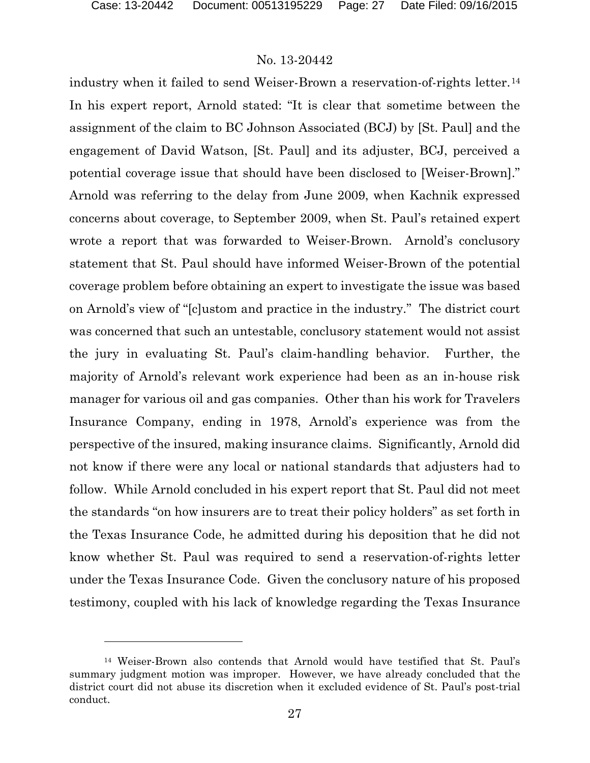### No. 13-20442

industry when it failed to send Weiser-Brown a reservation-of-rights letter.<sup>[14](#page-26-0)</sup> In his expert report, Arnold stated: "It is clear that sometime between the assignment of the claim to BC Johnson Associated (BCJ) by [St. Paul] and the engagement of David Watson, [St. Paul] and its adjuster, BCJ, perceived a potential coverage issue that should have been disclosed to [Weiser-Brown]." Arnold was referring to the delay from June 2009, when Kachnik expressed concerns about coverage, to September 2009, when St. Paul's retained expert wrote a report that was forwarded to Weiser-Brown. Arnold's conclusory statement that St. Paul should have informed Weiser-Brown of the potential coverage problem before obtaining an expert to investigate the issue was based on Arnold's view of "[c]ustom and practice in the industry." The district court was concerned that such an untestable, conclusory statement would not assist the jury in evaluating St. Paul's claim-handling behavior. Further, the majority of Arnold's relevant work experience had been as an in-house risk manager for various oil and gas companies. Other than his work for Travelers Insurance Company, ending in 1978, Arnold's experience was from the perspective of the insured, making insurance claims. Significantly, Arnold did not know if there were any local or national standards that adjusters had to follow. While Arnold concluded in his expert report that St. Paul did not meet the standards "on how insurers are to treat their policy holders" as set forth in the Texas Insurance Code, he admitted during his deposition that he did not know whether St. Paul was required to send a reservation-of-rights letter under the Texas Insurance Code. Given the conclusory nature of his proposed testimony, coupled with his lack of knowledge regarding the Texas Insurance

<span id="page-26-0"></span><sup>14</sup> Weiser-Brown also contends that Arnold would have testified that St. Paul's summary judgment motion was improper. However, we have already concluded that the district court did not abuse its discretion when it excluded evidence of St. Paul's post-trial conduct.